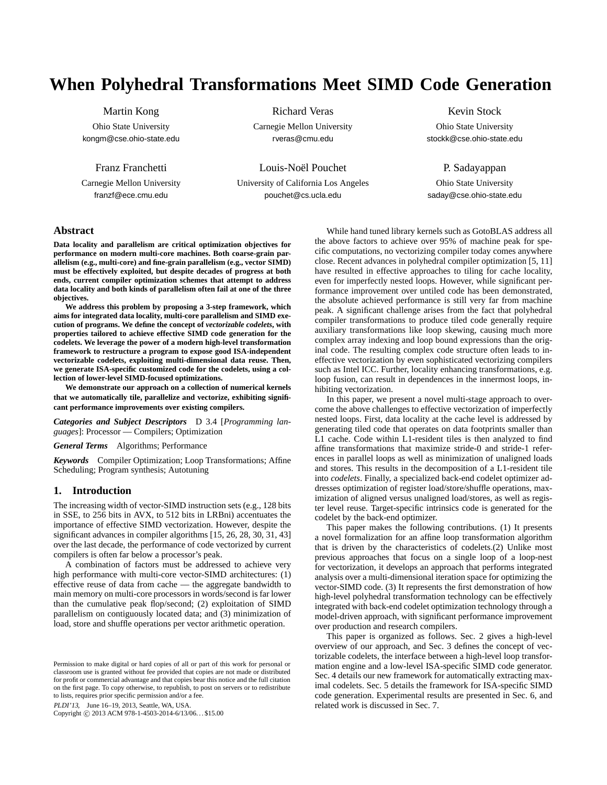# **When Polyhedral Transformations Meet SIMD Code Generation**

Martin Kong

Ohio State University kongm@cse.ohio-state.edu

Franz Franchetti

Carnegie Mellon University franzf@ece.cmu.edu

Richard Veras

Carnegie Mellon University rveras@cmu.edu

Louis-Noël Pouchet

University of California Los Angeles pouchet@cs.ucla.edu

Kevin Stock

Ohio State University stockk@cse.ohio-state.edu

P. Sadayappan

Ohio State University saday@cse.ohio-state.edu

# **Abstract**

**Data locality and parallelism are critical optimization objectives for performance on modern multi-core machines. Both coarse-grain parallelism (e.g., multi-core) and fine-grain parallelism (e.g., vector SIMD) must be effectively exploited, but despite decades of progress at both ends, current compiler optimization schemes that attempt to address data locality and both kinds of parallelism often fail at one of the three objectives.**

**We address this problem by proposing a 3-step framework, which aims for integrated data locality, multi-core parallelism and SIMD execution of programs. We define the concept of** *vectorizable codelets***, with properties tailored to achieve effective SIMD code generation for the codelets. We leverage the power of a modern high-level transformation framework to restructure a program to expose good ISA-independent vectorizable codelets, exploiting multi-dimensional data reuse. Then, we generate ISA-specific customized code for the codelets, using a collection of lower-level SIMD-focused optimizations.**

**We demonstrate our approach on a collection of numerical kernels that we automatically tile, parallelize and vectorize, exhibiting significant performance improvements over existing compilers.**

*Categories and Subject Descriptors* D 3.4 [*Programming languages*]: Processor — Compilers; Optimization

*General Terms* Algorithms; Performance

*Keywords* Compiler Optimization; Loop Transformations; Affine Scheduling; Program synthesis; Autotuning

# **1. Introduction**

The increasing width of vector-SIMD instruction sets (e.g., 128 bits in SSE, to 256 bits in AVX, to 512 bits in LRBni) accentuates the importance of effective SIMD vectorization. However, despite the significant advances in compiler algorithms [15, 26, 28, 30, 31, 43] over the last decade, the performance of code vectorized by current compilers is often far below a processor's peak.

A combination of factors must be addressed to achieve very high performance with multi-core vector-SIMD architectures: (1) effective reuse of data from cache — the aggregate bandwidth to main memory on multi-core processors in words/second is far lower than the cumulative peak flop/second; (2) exploitation of SIMD parallelism on contiguously located data; and (3) minimization of load, store and shuffle operations per vector arithmetic operation.

PLDI'13, June 16–19, 2013, Seattle, WA, USA.

Copyright © 2013 ACM 978-1-4503-2014-6/13/06... \$15.00

While hand tuned library kernels such as GotoBLAS address all the above factors to achieve over 95% of machine peak for specific computations, no vectorizing compiler today comes anywhere close. Recent advances in polyhedral compiler optimization [5, 11] have resulted in effective approaches to tiling for cache locality, even for imperfectly nested loops. However, while significant performance improvement over untiled code has been demonstrated, the absolute achieved performance is still very far from machine peak. A significant challenge arises from the fact that polyhedral compiler transformations to produce tiled code generally require auxiliary transformations like loop skewing, causing much more complex array indexing and loop bound expressions than the original code. The resulting complex code structure often leads to ineffective vectorization by even sophisticated vectorizing compilers such as Intel ICC. Further, locality enhancing transformations, e.g. loop fusion, can result in dependences in the innermost loops, inhibiting vectorization.

In this paper, we present a novel multi-stage approach to overcome the above challenges to effective vectorization of imperfectly nested loops. First, data locality at the cache level is addressed by generating tiled code that operates on data footprints smaller than L1 cache. Code within L1-resident tiles is then analyzed to find affine transformations that maximize stride-0 and stride-1 references in parallel loops as well as minimization of unaligned loads and stores. This results in the decomposition of a L1-resident tile into *codelets*. Finally, a specialized back-end codelet optimizer addresses optimization of register load/store/shuffle operations, maximization of aligned versus unaligned load/stores, as well as register level reuse. Target-specific intrinsics code is generated for the codelet by the back-end optimizer.

This paper makes the following contributions. (1) It presents a novel formalization for an affine loop transformation algorithm that is driven by the characteristics of codelets.(2) Unlike most previous approaches that focus on a single loop of a loop-nest for vectorization, it develops an approach that performs integrated analysis over a multi-dimensional iteration space for optimizing the vector-SIMD code. (3) It represents the first demonstration of how high-level polyhedral transformation technology can be effectively integrated with back-end codelet optimization technology through a model-driven approach, with significant performance improvement over production and research compilers.

This paper is organized as follows. Sec. 2 gives a high-level overview of our approach, and Sec. 3 defines the concept of vectorizable codelets, the interface between a high-level loop transformation engine and a low-level ISA-specific SIMD code generator. Sec. 4 details our new framework for automatically extracting maximal codelets. Sec. 5 details the framework for ISA-specific SIMD code generation. Experimental results are presented in Sec. 6, and related work is discussed in Sec. 7.

Permission to make digital or hard copies of all or part of this work for personal or classroom use is granted without fee provided that copies are not made or distributed for profit or commercial advantage and that copies bear this notice and the full citation on the first page. To copy otherwise, to republish, to post on servers or to redistribute to lists, requires prior specific permission and/or a fee.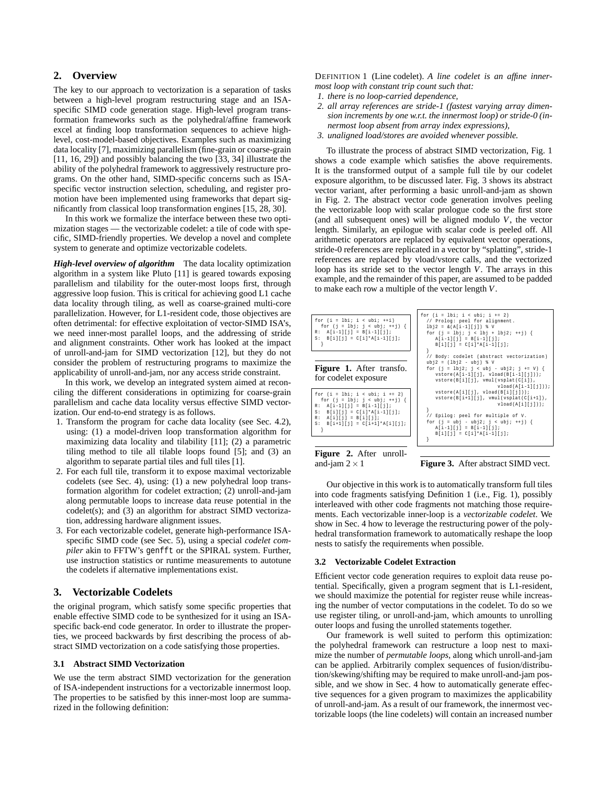# **2. Overview**

The key to our approach to vectorization is a separation of tasks between a high-level program restructuring stage and an ISAspecific SIMD code generation stage. High-level program transformation frameworks such as the polyhedral/affine framework excel at finding loop transformation sequences to achieve highlevel, cost-model-based objectives. Examples such as maximizing data locality [7], maximizing parallelism (fine-grain or coarse-grain [11, 16, 29]) and possibly balancing the two [33, 34] illustrate the ability of the polyhedral framework to aggressively restructure programs. On the other hand, SIMD-specific concerns such as ISAspecific vector instruction selection, scheduling, and register promotion have been implemented using frameworks that depart significantly from classical loop transformation engines [15, 28, 30].

In this work we formalize the interface between these two optimization stages — the vectorizable codelet: a tile of code with specific, SIMD-friendly properties. We develop a novel and complete system to generate and optimize vectorizable codelets.

*High-level overview of algorithm* The data locality optimization algorithm in a system like Pluto [11] is geared towards exposing parallelism and tilability for the outer-most loops first, through aggressive loop fusion. This is critical for achieving good L1 cache data locality through tiling, as well as coarse-grained multi-core parallelization. However, for L1-resident code, those objectives are often detrimental: for effective exploitation of vector-SIMD ISA's, we need inner-most parallel loops, and the addressing of stride and alignment constraints. Other work has looked at the impact of unroll-and-jam for SIMD vectorization [12], but they do not consider the problem of restructuring programs to maximize the applicability of unroll-and-jam, nor any access stride constraint.

In this work, we develop an integrated system aimed at reconciling the different considerations in optimizing for coarse-grain parallelism and cache data locality versus effective SIMD vectorization. Our end-to-end strategy is as follows.

- 1. Transform the program for cache data locality (see Sec. 4.2), using: (1) a model-driven loop transformation algorithm for maximizing data locality and tilability [11]; (2) a parametric tiling method to tile all tilable loops found [5]; and (3) an algorithm to separate partial tiles and full tiles [1].
- 2. For each full tile, transform it to expose maximal vectorizable codelets (see Sec. 4), using: (1) a new polyhedral loop transformation algorithm for codelet extraction; (2) unroll-and-jam along permutable loops to increase data reuse potential in the codelet(s); and (3) an algorithm for abstract SIMD vectorization, addressing hardware alignment issues.
- 3. For each vectorizable codelet, generate high-performance ISAspecific SIMD code (see Sec. 5), using a special *codelet compiler* akin to FFTW's genfft or the SPIRAL system. Further, use instruction statistics or runtime measurements to autotune the codelets if alternative implementations exist.

## **3. Vectorizable Codelets**

the original program, which satisfy some specific properties that enable effective SIMD code to be synthesized for it using an ISAspecific back-end code generator. In order to illustrate the properties, we proceed backwards by first describing the process of abstract SIMD vectorization on a code satisfying those properties.

#### **3.1 Abstract SIMD Vectorization**

We use the term abstract SIMD vectorization for the generation of ISA-independent instructions for a vectorizable innermost loop. The properties to be satisfied by this inner-most loop are summarized in the following definition:

DEFINITION 1 (Line codelet). *A line codelet is an affine innermost loop with constant trip count such that:*

- *1. there is no loop-carried dependence,*
- *2. all array references are stride-1 (fastest varying array dimension increments by one w.r.t. the innermost loop) or stride-0 (innermost loop absent from array index expressions),*
- *3. unaligned load/stores are avoided whenever possible.*

To illustrate the process of abstract SIMD vectorization, Fig. 1 shows a code example which satisfies the above requirements. It is the transformed output of a sample full tile by our codelet exposure algorithm, to be discussed later. Fig. 3 shows its abstract vector variant, after performing a basic unroll-and-jam as shown in Fig. 2. The abstract vector code generation involves peeling the vectorizable loop with scalar prologue code so the first store (and all subsequent ones) will be aligned modulo *V*, the vector length. Similarly, an epilogue with scalar code is peeled off. All arithmetic operators are replaced by equivalent vector operations, stride-0 references are replicated in a vector by "splatting", stride-1 references are replaced by vload/vstore calls, and the vectorized loop has its stride set to the vector length *V*. The arrays in this example, and the remainder of this paper, are assumed to be padded to make each row a multiple of the vector length *V*.

| for $(i = 1bi; i < ubi; i += 2)$<br>// Prolog: peel for alignment.<br>$1b12 = \& (A[i-1][1])$ % V<br>for $(i = 1bi; j < 1bi + 1bi2; ++j)$ {<br>$A[i-1][j] = B[i-1][j];$<br>$B[i][j] = C[i]*A[i-1][j];$                                          |
|-------------------------------------------------------------------------------------------------------------------------------------------------------------------------------------------------------------------------------------------------|
| // Body: codelet (abstract vectorization)<br>$ubj2 = (1bj2 - ubj)$ % V                                                                                                                                                                          |
| for $(i = 1bi2; j < ubj - ubi2; j == V)$ {<br>$vstore(A[i-1][j], vload(B[i-1][j]))$ ;<br>vstore(B[i][j], vmul(vsplit(C[i]),<br>$vload(A[i-1][i])$ ;                                                                                             |
| $vstore(A[i][i], vload(B[i][i]))$ ;<br>$vstore(B[i+1][j], vmul(vsplit(C[i+1]),$<br>$vload(A[i][j]))$ ;<br>// Epilog: peel for multiple of V.<br>for $(i = ubj - ubj2; j < ubj; ++j)$<br>$A[i-1][j] = B[i-1][j];$<br>$B[i][j] = C[i]*A[i-1][j];$ |
|                                                                                                                                                                                                                                                 |

**Figure 2.** After unrolland-jam  $2 \times 1$ 

**Figure 3.** After abstract SIMD vect.

Our objective in this work is to automatically transform full tiles into code fragments satisfying Definition 1 (i.e., Fig. 1), possibly interleaved with other code fragments not matching those requirements. Each vectorizable inner-loop is a *vectorizable codelet*. We show in Sec. 4 how to leverage the restructuring power of the polyhedral transformation framework to automatically reshape the loop nests to satisfy the requirements when possible.

#### **3.2 Vectorizable Codelet Extraction**

Efficient vector code generation requires to exploit data reuse potential. Specifically, given a program segment that is L1-resident, we should maximize the potential for register reuse while increasing the number of vector computations in the codelet. To do so we use register tiling, or unroll-and-jam, which amounts to unrolling outer loops and fusing the unrolled statements together.

Our framework is well suited to perform this optimization: the polyhedral framework can restructure a loop nest to maximize the number of *permutable loops*, along which unroll-and-jam can be applied. Arbitrarily complex sequences of fusion/distribution/skewing/shifting may be required to make unroll-and-jam possible, and we show in Sec. 4 how to automatically generate effective sequences for a given program to maximizes the applicability of unroll-and-jam. As a result of our framework, the innermost vectorizable loops (the line codelets) will contain an increased number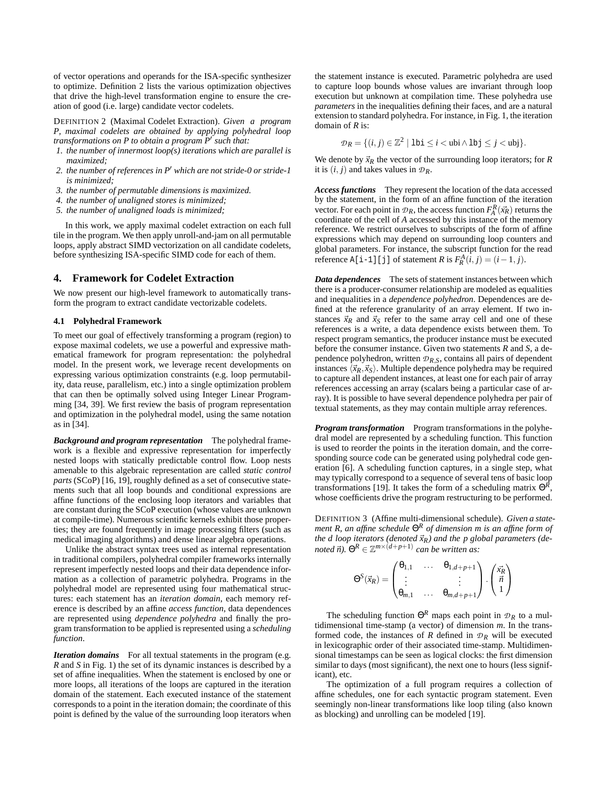of vector operations and operands for the ISA-specific synthesizer to optimize. Definition 2 lists the various optimization objectives that drive the high-level transformation engine to ensure the creation of good (i.e. large) candidate vector codelets.

DEFINITION 2 (Maximal Codelet Extraction). *Given a program P, maximal codelets are obtained by applying polyhedral loop transformations on P to obtain a program P*′ *such that:*

- *1. the number of innermost loop(s) iterations which are parallel is maximized;*
- *2. the number of references in P*′ *which are not stride-0 or stride-1 is minimized;*
- *3. the number of permutable dimensions is maximized.*
- *4. the number of unaligned stores is minimized;*
- *5. the number of unaligned loads is minimized;*

In this work, we apply maximal codelet extraction on each full tile in the program. We then apply unroll-and-jam on all permutable loops, apply abstract SIMD vectorization on all candidate codelets, before synthesizing ISA-specific SIMD code for each of them.

# **4. Framework for Codelet Extraction**

We now present our high-level framework to automatically transform the program to extract candidate vectorizable codelets.

#### **4.1 Polyhedral Framework**

To meet our goal of effectively transforming a program (region) to expose maximal codelets, we use a powerful and expressive mathematical framework for program representation: the polyhedral model. In the present work, we leverage recent developments on expressing various optimization constraints (e.g. loop permutability, data reuse, parallelism, etc.) into a single optimization problem that can then be optimally solved using Integer Linear Programming [34, 39]. We first review the basis of program representation and optimization in the polyhedral model, using the same notation as in [34].

*Background and program representation* The polyhedral framework is a flexible and expressive representation for imperfectly nested loops with statically predictable control flow. Loop nests amenable to this algebraic representation are called *static control parts* (SCoP) [16, 19], roughly defined as a set of consecutive statements such that all loop bounds and conditional expressions are affine functions of the enclosing loop iterators and variables that are constant during the SCoP execution (whose values are unknown at compile-time). Numerous scientific kernels exhibit those properties; they are found frequently in image processing filters (such as medical imaging algorithms) and dense linear algebra operations.

Unlike the abstract syntax trees used as internal representation in traditional compilers, polyhedral compiler frameworks internally represent imperfectly nested loops and their data dependence information as a collection of parametric polyhedra. Programs in the polyhedral model are represented using four mathematical structures: each statement has an *iteration domain*, each memory reference is described by an affine *access function*, data dependences are represented using *dependence polyhedra* and finally the program transformation to be applied is represented using a *scheduling function*.

*Iteration domains* For all textual statements in the program (e.g. *R* and *S* in Fig. 1) the set of its dynamic instances is described by a set of affine inequalities. When the statement is enclosed by one or more loops, all iterations of the loops are captured in the iteration domain of the statement. Each executed instance of the statement corresponds to a point in the iteration domain; the coordinate of this point is defined by the value of the surrounding loop iterators when

the statement instance is executed. Parametric polyhedra are used to capture loop bounds whose values are invariant through loop execution but unknown at compilation time. These polyhedra use *parameters* in the inequalities defining their faces, and are a natural extension to standard polyhedra. For instance, in Fig. 1, the iteration domain of *R* is:

$$
\mathcal{D}_R = \{ (i, j) \in \mathbb{Z}^2 \mid \text{1bi} \le i < \text{ubi} \land \text{1bj} \le j < \text{ubj} \}.
$$

We denote by  $\vec{x}_R$  the vector of the surrounding loop iterators; for *R* it is  $(i, j)$  and takes values in  $\mathcal{D}_R$ .

*Access functions* They represent the location of the data accessed by the statement, in the form of an affine function of the iteration vector. For each point in  $\mathcal{D}_R$ , the access function  $F_A^R(\vec{xR})$  returns the coordinate of the cell of *A* accessed by this instance of the memory reference. We restrict ourselves to subscripts of the form of affine expressions which may depend on surrounding loop counters and global parameters. For instance, the subscript function for the read reference A[i-1][j] of statement *R* is  $F_R^A(i, j) = (i - 1, j)$ .

*Data dependences* The sets of statement instances between which there is a producer-consumer relationship are modeled as equalities and inequalities in a *dependence polyhedron*. Dependences are defined at the reference granularity of an array element. If two instances  $\vec{x}_R$  and  $\vec{x}_S$  refer to the same array cell and one of these references is a write, a data dependence exists between them. To respect program semantics, the producer instance must be executed before the consumer instance. Given two statements *R* and *S*, a dependence polyhedron, written  $\mathcal{D}_{R,S}$ , contains all pairs of dependent instances  $\langle \vec{x}_R, \vec{x}_S \rangle$ . Multiple dependence polyhedra may be required to capture all dependent instances, at least one for each pair of array references accessing an array (scalars being a particular case of array). It is possible to have several dependence polyhedra per pair of textual statements, as they may contain multiple array references.

*Program transformation* Program transformations in the polyhedral model are represented by a scheduling function. This function is used to reorder the points in the iteration domain, and the corresponding source code can be generated using polyhedral code generation [6]. A scheduling function captures, in a single step, what may typically correspond to a sequence of several tens of basic loop transformations [19]. It takes the form of a scheduling matrix Θ*<sup>R</sup>* , whose coefficients drive the program restructuring to be performed.

DEFINITION 3 (Affine multi-dimensional schedule). *Given a statement R, an affine schedule* Θ*<sup>R</sup> of dimension m is an affine form of the d loop iterators (denoted*  $\vec{x}_R$ ) and the p global parameters (de*noted*  $\vec{n}$ ).  $\Theta^R \in \mathbb{Z}^{m \times (d+p+1)}$  *can be written as:* 

$$
\Theta^{S}(\vec{x}_{R}) = \begin{pmatrix} \theta_{1,1} & \dots & \theta_{1,d+p+1} \\ \vdots & & \vdots \\ \theta_{m,1} & \dots & \theta_{m,d+p+1} \end{pmatrix} \cdot \begin{pmatrix} \vec{x}_{R} \\ \vec{n} \\ 1 \end{pmatrix}
$$

The scheduling function  $\Theta^R$  maps each point in  $\mathcal{D}_R$  to a multidimensional time-stamp (a vector) of dimension *m*. In the transformed code, the instances of *R* defined in  $\mathcal{D}_R$  will be executed in lexicographic order of their associated time-stamp. Multidimensional timestamps can be seen as logical clocks: the first dimension similar to days (most significant), the next one to hours (less significant), etc.

The optimization of a full program requires a collection of affine schedules, one for each syntactic program statement. Even seemingly non-linear transformations like loop tiling (also known as blocking) and unrolling can be modeled [19].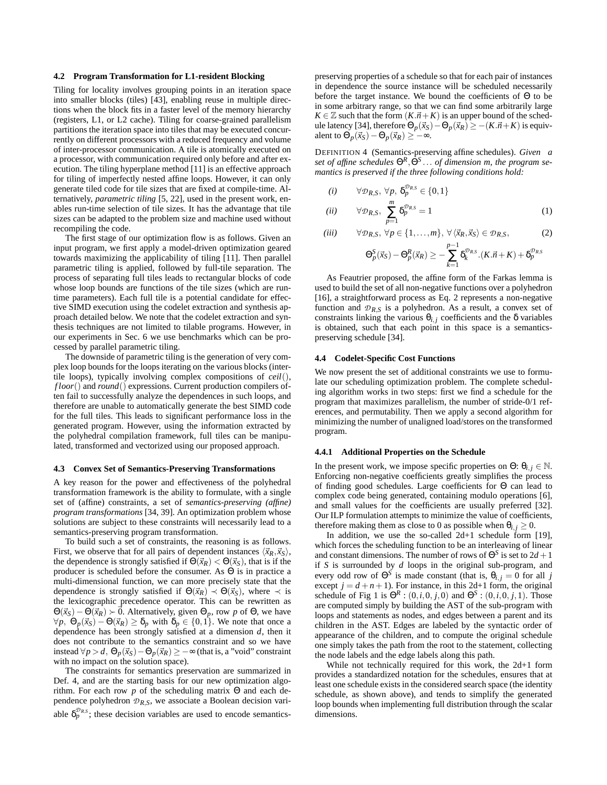#### **4.2 Program Transformation for L1-resident Blocking**

Tiling for locality involves grouping points in an iteration space into smaller blocks (tiles) [43], enabling reuse in multiple directions when the block fits in a faster level of the memory hierarchy (registers, L1, or L2 cache). Tiling for coarse-grained parallelism partitions the iteration space into tiles that may be executed concurrently on different processors with a reduced frequency and volume of inter-processor communication. A tile is atomically executed on a processor, with communication required only before and after execution. The tiling hyperplane method [11] is an effective approach for tiling of imperfectly nested affine loops. However, it can only generate tiled code for tile sizes that are fixed at compile-time. Alternatively, *parametric tiling* [5, 22], used in the present work, enables run-time selection of tile sizes. It has the advantage that tile sizes can be adapted to the problem size and machine used without recompiling the code.

The first stage of our optimization flow is as follows. Given an input program, we first apply a model-driven optimization geared towards maximizing the applicability of tiling [11]. Then parallel parametric tiling is applied, followed by full-tile separation. The process of separating full tiles leads to rectangular blocks of code whose loop bounds are functions of the tile sizes (which are runtime parameters). Each full tile is a potential candidate for effective SIMD execution using the codelet extraction and synthesis approach detailed below. We note that the codelet extraction and synthesis techniques are not limited to tilable programs. However, in our experiments in Sec. 6 we use benchmarks which can be processed by parallel parametric tiling.

The downside of parametric tiling is the generation of very complex loop bounds for the loops iterating on the various blocks (intertile loops), typically involving complex compositions of *ceil*(), *f loor*() and *round*() expressions. Current production compilers often fail to successfully analyze the dependences in such loops, and therefore are unable to automatically generate the best SIMD code for the full tiles. This leads to significant performance loss in the generated program. However, using the information extracted by the polyhedral compilation framework, full tiles can be manipulated, transformed and vectorized using our proposed approach.

#### **4.3 Convex Set of Semantics-Preserving Transformations**

A key reason for the power and effectiveness of the polyhedral transformation framework is the ability to formulate, with a single set of (affine) constraints, a set of *semantics-preserving (affine) program transformations* [34, 39]. An optimization problem whose solutions are subject to these constraints will necessarily lead to a semantics-preserving program transformation.

To build such a set of constraints, the reasoning is as follows. First, we observe that for all pairs of dependent instances  $\langle \vec{x}_R, \vec{x}_S \rangle$ , the dependence is strongly satisfied if  $\Theta(\vec{x}_R) < \Theta(\vec{x}_S)$ , that is if the producer is scheduled before the consumer. As Θ is in practice a multi-dimensional function, we can more precisely state that the dependence is strongly satisfied if  $\Theta(\vec{x}_R) \prec \Theta(\vec{x}_S)$ , where  $\prec$  is the lexicographic precedence operator. This can be rewritten as  $\Theta(\vec{x}_S) - \Theta(\vec{x}_R) \succ \vec{0}$ . Alternatively, given  $\Theta_p$ , row *p* of  $\Theta$ , we have  $\forall p, \ \Theta_p(\vec{x}_S) - \Theta(\vec{x}_R) \ge \delta_p$  with  $\delta_p \in \{0, 1\}$ . We note that once a dependence has been strongly satisfied at a dimension *d*, then it does not contribute to the semantics constraint and so we have instead ∀*p* > *d*,  $\Theta_p(\vec{x}_S) - \Theta_p(\vec{x}_R) \geq -\infty$  (that is, a "void" constraint with no impact on the solution space).

The constraints for semantics preservation are summarized in Def. 4, and are the starting basis for our new optimization algorithm. For each row *p* of the scheduling matrix Θ and each dependence polyhedron  $\mathcal{D}_{R,S}$ , we associate a Boolean decision variable  $\delta_p^{p_{R,S}}$ ; these decision variables are used to encode semantics-

preserving properties of a schedule so that for each pair of instances in dependence the source instance will be scheduled necessarily before the target instance. We bound the coefficients of Θ to be in some arbitrary range, so that we can find some arbitrarily large  $K \in \mathbb{Z}$  such that the form  $(K.\vec{n}+K)$  is an upper bound of the schedule latency [34], therefore  $\Theta_p(\vec{x}_S) - \Theta_p(\vec{x}_R) \ge -(K \cdot \vec{n} + K)$  is equivalent to  $\Theta_p(\vec{x}_S) - \Theta_p(\vec{x}_R) \geq -\infty$ .

DEFINITION 4 (Semantics-preserving affine schedules). *Given a set of affine schedules* Θ*<sup>R</sup>* ,Θ*<sup>S</sup>* ... *of dimension m, the program semantics is preserved if the three following conditions hold:*

(i) 
$$
\forall \mathcal{D}_{R,S}, \forall p, \delta_p^{\mathcal{D}_{R,S}} \in \{0,1\}
$$
  
\n(ii)  $\forall \mathcal{D}_{R,S}, \sum_{p=1}^{m} \delta_p^{\mathcal{D}_{R,S}} = 1$  (1)

$$
(iii) \qquad \forall \mathcal{D}_{R,S}, \,\forall p \in \{1,\ldots,m\}, \,\forall \langle \vec{x}_R, \vec{x}_S \rangle \in \mathcal{D}_{R,S},\tag{2}
$$

$$
\Theta_p^S(\vec{x}_S) - \Theta_p^R(\vec{x}_R) \geq -\sum_{k=1}^{p-1} \delta_k^{\mathcal{D}_{R,S}}.(K.\vec{n} + K) + \delta_p^{\mathcal{D}_{R,S}}
$$

As Feautrier proposed, the affine form of the Farkas lemma is used to build the set of all non-negative functions over a polyhedron [16], a straightforward process as Eq. 2 represents a non-negative function and  $\mathcal{D}_{RS}$  is a polyhedron. As a result, a convex set of constraints linking the various  $\theta_{i,j}$  coefficients and the  $\delta$  variables is obtained, such that each point in this space is a semanticspreserving schedule [34].

## **4.4 Codelet-Specific Cost Functions**

We now present the set of additional constraints we use to formulate our scheduling optimization problem. The complete scheduling algorithm works in two steps: first we find a schedule for the program that maximizes parallelism, the number of stride-0/1 references, and permutability. Then we apply a second algorithm for minimizing the number of unaligned load/stores on the transformed program.

#### **4.4.1 Additional Properties on the Schedule**

In the present work, we impose specific properties on  $\Theta$ :  $\theta_{i,j} \in \mathbb{N}$ . Enforcing non-negative coefficients greatly simplifies the process of finding good schedules. Large coefficients for Θ can lead to complex code being generated, containing modulo operations [6], and small values for the coefficients are usually preferred [32]. Our ILP formulation attempts to minimize the value of coefficients, therefore making them as close to 0 as possible when  $\theta_{i,j} \geq 0$ .

In addition, we use the so-called 2d+1 schedule form [19], which forces the scheduling function to be an interleaving of linear and constant dimensions. The number of rows of  $\Theta^S$  is set to  $2d+1$ if *S* is surrounded by *d* loops in the original sub-program, and every odd row of  $\Theta^S$  is made constant (that is,  $\theta_{i,j} = 0$  for all *j* except  $j = d + n + 1$ ). For instance, in this 2d+1 form, the original schedule of Fig 1 is  $\Theta^R$ :  $(0, i, 0, j, 0)$  and  $\Theta^S$ :  $(0, i, 0, j, 1)$ . Those are computed simply by building the AST of the sub-program with loops and statements as nodes, and edges between a parent and its children in the AST. Edges are labeled by the syntactic order of appearance of the children, and to compute the original schedule one simply takes the path from the root to the statement, collecting the node labels and the edge labels along this path.

While not technically required for this work, the 2d+1 form provides a standardized notation for the schedules, ensures that at least one schedule exists in the considered search space (the identity schedule, as shown above), and tends to simplify the generated loop bounds when implementing full distribution through the scalar dimensions.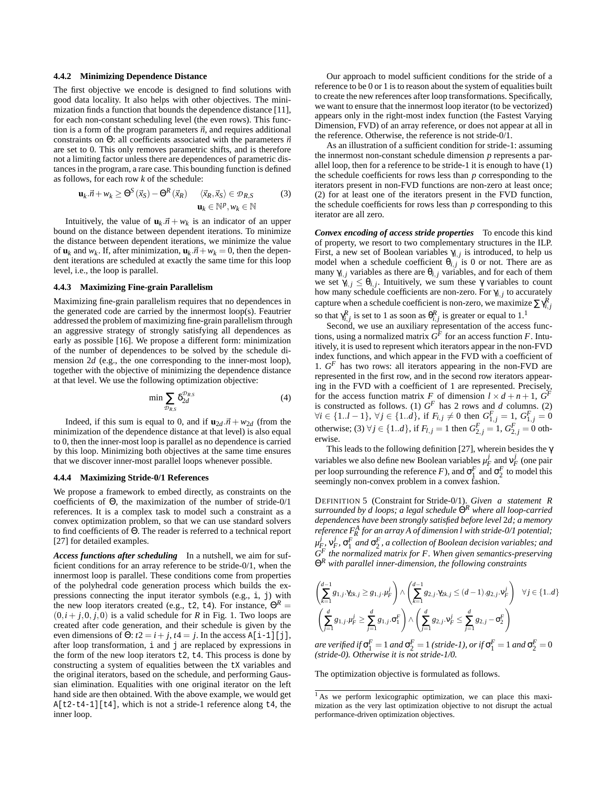#### **4.4.2 Minimizing Dependence Distance**

The first objective we encode is designed to find solutions with good data locality. It also helps with other objectives. The minimization finds a function that bounds the dependence distance [11], for each non-constant scheduling level (the even rows). This function is a form of the program parameters  $\vec{n}$ , and requires additional constraints on  $\Theta$ : all coefficients associated with the parameters  $\vec{n}$ are set to 0. This only removes parametric shifts, and is therefore not a limiting factor unless there are dependences of parametric distances in the program, a rare case. This bounding function is defined as follows, for each row *k* of the schedule:

$$
\mathbf{u}_{k}.\vec{n} + w_{k} \ge \Theta^{S}(\vec{x}_{S}) - \Theta^{R}(\vec{x}_{R}) \qquad \langle \vec{x}_{R}, \vec{x}_{S} \rangle \in \mathcal{D}_{R,S} \tag{3}
$$
\n
$$
\mathbf{u}_{k} \in \mathbb{N}^{p}, w_{k} \in \mathbb{N}
$$

Intuitively, the value of  $\mathbf{u}_k \cdot \vec{n} + w_k$  is an indicator of an upper bound on the distance between dependent iterations. To minimize the distance between dependent iterations, we minimize the value of  $\mathbf{u}_k$  and  $w_k$ . If, after minimization,  $\mathbf{u}_k \cdot \vec{n} + w_k = 0$ , then the dependent iterations are scheduled at exactly the same time for this loop level, i.e., the loop is parallel.

## **4.4.3 Maximizing Fine-grain Parallelism**

Maximizing fine-grain parallelism requires that no dependences in the generated code are carried by the innermost loop(s). Feautrier addressed the problem of maximizing fine-grain parallelism through an aggressive strategy of strongly satisfying all dependences as early as possible [16]. We propose a different form: minimization of the number of dependences to be solved by the schedule dimension 2*d* (e.g., the one corresponding to the inner-most loop), together with the objective of minimizing the dependence distance at that level. We use the following optimization objective:

$$
\min \sum_{\mathcal{D}_{R,S}} \delta_{2d}^{\mathcal{D}_{R,S}} \tag{4}
$$

Indeed, if this sum is equal to 0, and if  $\mathbf{u}_{2d} \cdot \vec{n} + w_{2d}$  (from the minimization of the dependence distance at that level) is also equal to 0, then the inner-most loop is parallel as no dependence is carried by this loop. Minimizing both objectives at the same time ensures that we discover inner-most parallel loops whenever possible.

#### **4.4.4 Maximizing Stride-0/1 References**

We propose a framework to embed directly, as constraints on the coefficients of Θ, the maximization of the number of stride-0/1 references. It is a complex task to model such a constraint as a convex optimization problem, so that we can use standard solvers to find coefficients of Θ. The reader is referred to a technical report [27] for detailed examples.

*Access functions after scheduling* In a nutshell, we aim for sufficient conditions for an array reference to be stride-0/1, when the innermost loop is parallel. These conditions come from properties of the polyhedral code generation process which builds the expressions connecting the input iterator symbols (e.g., i, j) with the new loop iterators created (e.g., t2, t4). For instance,  $\Theta^R$  =  $(0, i + j, 0, j, 0)$  is a valid schedule for *R* in Fig. 1. Two loops are created after code generation, and their schedule is given by the even dimensions of  $\Theta$ :  $t2 = i + j$ ,  $t4 = j$ . In the access A[i-1][j], after loop transformation, i and j are replaced by expressions in the form of the new loop iterators  $t2$ ,  $t4$ . This process is done by constructing a system of equalities between the tX variables and the original iterators, based on the schedule, and performing Gaussian elimination. Equalities with one original iterator on the left hand side are then obtained. With the above example, we would get A[t2-t4-1][t4], which is not a stride-1 reference along t4, the inner loop.

Our approach to model sufficient conditions for the stride of a reference to be 0 or 1 is to reason about the system of equalities built to create the new references after loop transformations. Specifically, we want to ensure that the innermost loop iterator (to be vectorized) appears only in the right-most index function (the Fastest Varying Dimension, FVD) of an array reference, or does not appear at all in the reference. Otherwise, the reference is not stride-0/1.

As an illustration of a sufficient condition for stride-1: assuming the innermost non-constant schedule dimension *p* represents a parallel loop, then for a reference to be stride-1 it is enough to have (1) the schedule coefficients for rows less than *p* corresponding to the iterators present in non-FVD functions are non-zero at least once; (2) for at least one of the iterators present in the FVD function, the schedule coefficients for rows less than *p* corresponding to this iterator are all zero.

*Convex encoding of access stride properties* To encode this kind of property, we resort to two complementary structures in the ILP. First, a new set of Boolean variables  $\gamma_{i,j}$  is introduced, to help us model when a schedule coefficient  $\theta_{i,j}$  is 0 or not. There are as many  $\gamma_{i,j}$  variables as there are  $\theta_{i,j}$  variables, and for each of them we set  $\gamma_{i,j} \leq \theta_{i,j}$ . Intuitively, we sum these  $\gamma$  variables to count how many schedule coefficients are non-zero. For  $\gamma_{i,j}$  to accurately capture when a schedule coefficient is non-zero, we maximize  $\sum \gamma_{i,j}^R$ so that  $\gamma_{i,j}^R$  is set to 1 as soon as  $\theta_{i,j}^R$  is greater or equal to 1.<sup>1</sup>

Second, we use an auxiliary representation of the access functions, using a normalized matrix  $G^F$  for an access function *F*. Intuitively, it is used to represent which iterators appear in the non-FVD index functions, and which appear in the FVD with a coefficient of 1. *G <sup>F</sup>* has two rows: all iterators appearing in the non-FVD are represented in the first row, and in the second row iterators appearing in the FVD with a coefficient of 1 are represented. Precisely, for the access function matrix *F* of dimension  $l \times d + n + 1$ ,  $G^F$ is constructed as follows. (1)  $G<sup>F</sup>$  has 2 rows and *d* columns. (2)  $∀i ∈ {1..l − 1}, ∀j ∈ {1..d}, if F_{i,j} ≠ 0 then G_{1,j}^F = 1, G_{1,j}^F = 0$ otherwise; (3)  $\forall j \in \{1..d\}$ , if  $F_{l,j} = 1$  then  $G_{2,j}^F = 1$ ,  $G_{2,j}^F = 0$  otherwise.

This leads to the following definition [27], wherein besides the  $\gamma$ variables we also define new Boolean variables  $\mu_F^j$  and  $v_F^j$  (one pair per loop surrounding the reference *F*), and  $\sigma_1^F$  and  $\sigma_2^F$  to model this seemingly non-convex problem in a convex fashion.

DEFINITION 5 (Constraint for Stride-0/1). *Given a statement R surrounded by d loops; a legal schedule* Θ*<sup>R</sup> where all loop-carried dependences have been strongly satisfied before level* 2*d; a memory reference F<sup>A</sup> R for an array A of dimension l with stride-0/1 potential;*  $\mu_{F_2}^j$ ,  $\nu_{F}^j$ ,  $\sigma_{1}^F$  and  $\sigma_{2}^F$ , a collection of Boolean decision variables; and *G F the normalized matrix for F. When given semantics-preserving* Θ*<sup>R</sup> with parallel inner-dimension, the following constraints*

$$
\begin{aligned}\n\left(\sum_{k=1}^{d-1} g_{1,j}.\gamma_{2k,j} \ge g_{1,j}.\mu_F^j\right) \wedge \left(\sum_{k=1}^{d-1} g_{2,j}.\gamma_{2k,j} \le (d-1).g_{2,j}.\nu_F^j\right) &\forall j \in \{1..d\} \\
\left(\sum_{j=1}^{d} g_{1,j}.\mu_F^j \ge \sum_{j=1}^{d} g_{1,j}.\sigma_1^F\right) \wedge \left(\sum_{j=1}^{d} g_{2,j}.\nu_F^j \le \sum_{j=1}^{d} g_{2,j} - \sigma_2^F\right)\n\end{aligned}
$$

*are verified if*  $\sigma_1^F = 1$  *and*  $\sigma_2^F = 1$  (stride-1), or if  $\sigma_1^F = 1$  and  $\sigma_2^F = 0$ *(stride-0). Otherwise it is not stride-1/0.*

The optimization objective is formulated as follows.

<sup>&</sup>lt;sup>1</sup> As we perform lexicographic optimization, we can place this maximization as the very last optimization objective to not disrupt the actual performance-driven optimization objectives.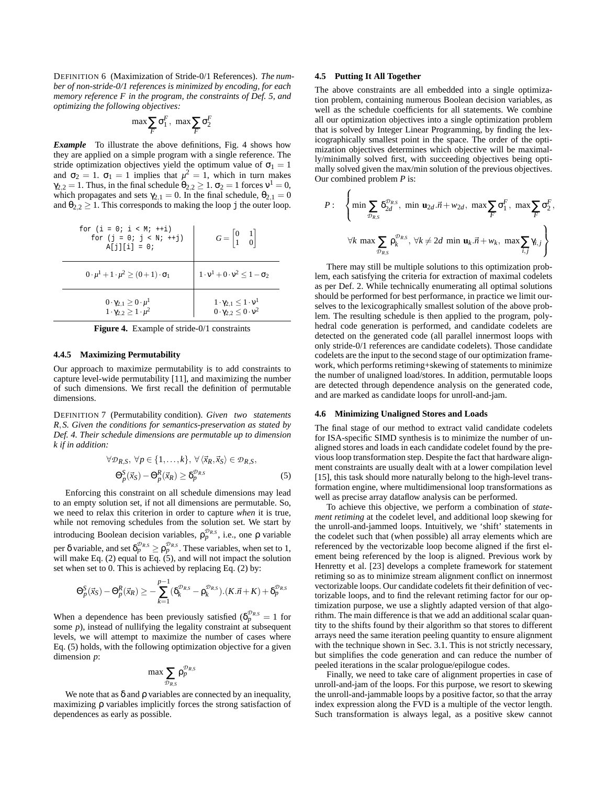DEFINITION 6 (Maximization of Stride-0/1 References). *The number of non-stride-0/1 references is minimized by encoding, for each memory reference F in the program, the constraints of Def. 5, and optimizing the following objectives:*

$$
\max \sum_{F} \sigma_1^F, \ \max \sum_{F} \sigma_2^F
$$

*Example* To illustrate the above definitions, Fig. 4 shows how they are applied on a simple program with a single reference. The stride optimization objectives yield the optimum value of  $\sigma_1 = 1$ and  $\sigma_2 = 1$ .  $\sigma_1 = 1$  implies that  $\mu^2 = 1$ , which in turn makes  $\gamma_{2,2} = 1$ . Thus, in the final schedule  $\theta_{2,2} \geq 1$ .  $\sigma_2 = 1$  forces  $v^1 = 0$ , which propagates and sets  $\gamma_{2,1} = 0$ . In the final schedule,  $\theta_{2,1} = 0$ and  $\theta_{2,2} \geq 1$ . This corresponds to making the loop j the outer loop.

| for $(i = 0; i < M; ++i)$<br>for $(j = 0; j < N; ++j)$<br>$A[i][i] = 0;$               | $G = \begin{bmatrix} 0 & 1 \\ 1 & 0 \end{bmatrix}$                                     |
|----------------------------------------------------------------------------------------|----------------------------------------------------------------------------------------|
| $0 \cdot \mu^{1} + 1 \cdot \mu^{2} \ge (0+1) \cdot \sigma_{1}$                         | $1 \cdot v^1 + 0 \cdot v^2 \leq 1 - \sigma_2$                                          |
| $0 \cdot \gamma_{2,1} \geq 0 \cdot \mu^1$<br>$1 \cdot \gamma_{2,2} \geq 1 \cdot \mu^2$ | $1 \cdot \gamma_{2,1} \leq 1 \cdot \nu^1$<br>$0 \cdot \gamma_{2,2} \leq 0 \cdot \nu^2$ |

**Figure 4.** Example of stride-0/1 constraints

#### **4.4.5 Maximizing Permutability**

Our approach to maximize permutability is to add constraints to capture level-wide permutability [11], and maximizing the number of such dimensions. We first recall the definition of permutable dimensions.

DEFINITION 7 (Permutability condition). *Given two statements R*,*S. Given the conditions for semantics-preservation as stated by Def. 4. Their schedule dimensions are permutable up to dimension k if in addition:*

$$
\forall \mathcal{D}_{R,S}, \forall p \in \{1, \dots, k\}, \forall \langle \vec{x}_R, \vec{x}_S \rangle \in \mathcal{D}_{R,S},
$$
  

$$
\Theta_p^S(\vec{x}_S) - \Theta_p^R(\vec{x}_R) \ge \delta_p^{\mathcal{D}_{R,S}} \tag{5}
$$

Enforcing this constraint on all schedule dimensions may lead to an empty solution set, if not all dimensions are permutable. So, we need to relax this criterion in order to capture *when* it is true, while not removing schedules from the solution set. We start by introducing Boolean decision variables,  $\rho_p^{D_{R,S}}$ , i.e., one  $\rho$  variable per  $\delta$  variable, and set  $\delta_p^{\mathcal{D}_{R,S}} \geq \rho_p^{\mathcal{D}_{R,S}}$ . These variables, when set to 1, will make Eq. (2) equal to Eq. (5), and will not impact the solution set when set to 0. This is achieved by replacing Eq. (2) by:

$$
\Theta_p^S(\vec{x}_S) - \Theta_p^R(\vec{x}_R) \ge -\sum_{k=1}^{p-1} (\delta_k^{\mathcal{D}_{R,S}} - \rho_k^{\mathcal{D}_{R,S}}) \cdot (K.\vec{n} + K) + \delta_p^{\mathcal{D}_{R,S}}
$$

When a dependence has been previously satisfied  $(\delta_p^{\mathcal{D}_{R,S}}) = 1$  for some *p*), instead of nullifying the legality constraint at subsequent levels, we will attempt to maximize the number of cases where Eq. (5) holds, with the following optimization objective for a given dimension *p*:

$$
\max \sum_{\mathcal{D}_{R,S}} \rho_p^{\mathcal{D}_{R,S}}
$$

We note that as  $\delta$  and  $\rho$  variables are connected by an inequality, maximizing ρ variables implicitly forces the strong satisfaction of dependences as early as possible.

## **4.5 Putting It All Together**

The above constraints are all embedded into a single optimization problem, containing numerous Boolean decision variables, as well as the schedule coefficients for all statements. We combine all our optimization objectives into a single optimization problem that is solved by Integer Linear Programming, by finding the lexicographically smallest point in the space. The order of the optimization objectives determines which objective will be maximally/minimally solved first, with succeeding objectives being optimally solved given the max/min solution of the previous objectives. Our combined problem *P* is:

$$
P: \quad \left\{ \min \sum_{\mathcal{D}_{R,S}} \delta_{2d}^{\mathcal{D}_{R,S}} \text{, min } \mathbf{u}_{2d}.\vec{n} + w_{2d}, \text{ max } \sum_{F} \sigma_{1}^{F}, \text{ max } \sum_{F} \sigma_{2}^{F}, \right\}
$$

$$
\forall k \text{ max } \sum_{\mathcal{D}_{R,S}} \rho_{k}^{\mathcal{D}_{R,S}} \text{, } \forall k \neq 2d \text{ min } \mathbf{u}_{k}.\vec{n} + w_{k}, \text{ max } \sum_{i,j} \gamma_{i,j} \right\}
$$

There may still be multiple solutions to this optimization problem, each satisfying the criteria for extraction of maximal codelets as per Def. 2. While technically enumerating all optimal solutions should be performed for best performance, in practice we limit ourselves to the lexicographically smallest solution of the above problem. The resulting schedule is then applied to the program, polyhedral code generation is performed, and candidate codelets are detected on the generated code (all parallel innermost loops with only stride-0/1 references are candidate codelets). Those candidate codelets are the input to the second stage of our optimization framework, which performs retiming+skewing of statements to minimize the number of unaligned load/stores. In addition, permutable loops are detected through dependence analysis on the generated code, and are marked as candidate loops for unroll-and-jam.

#### **4.6 Minimizing Unaligned Stores and Loads**

The final stage of our method to extract valid candidate codelets for ISA-specific SIMD synthesis is to minimize the number of unaligned stores and loads in each candidate codelet found by the previous loop transformation step. Despite the fact that hardware alignment constraints are usually dealt with at a lower compilation level [15], this task should more naturally belong to the high-level transformation engine, where multidimensional loop transformations as well as precise array dataflow analysis can be performed.

To achieve this objective, we perform a combination of *statement retiming* at the codelet level, and additional loop skewing for the unroll-and-jammed loops. Intuitively, we 'shift' statements in the codelet such that (when possible) all array elements which are referenced by the vectorizable loop become aligned if the first element being referenced by the loop is aligned. Previous work by Henretty et al. [23] develops a complete framework for statement retiming so as to minimize stream alignment conflict on innermost vectorizable loops. Our candidate codelets fit their definition of vectorizable loops, and to find the relevant retiming factor for our optimization purpose, we use a slightly adapted version of that algorithm. The main difference is that we add an additional scalar quantity to the shifts found by their algorithm so that stores to different arrays need the same iteration peeling quantity to ensure alignment with the technique shown in Sec. 3.1. This is not strictly necessary, but simplifies the code generation and can reduce the number of peeled iterations in the scalar prologue/epilogue codes.

Finally, we need to take care of alignment properties in case of unroll-and-jam of the loops. For this purpose, we resort to skewing the unroll-and-jammable loops by a positive factor, so that the array index expression along the FVD is a multiple of the vector length. Such transformation is always legal, as a positive skew cannot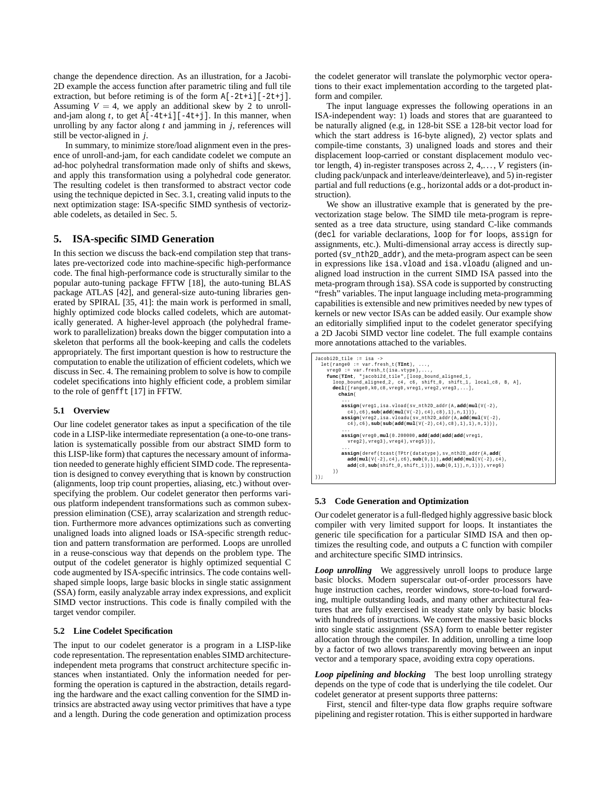change the dependence direction. As an illustration, for a Jacobi-2D example the access function after parametric tiling and full tile extraction, but before retiming is of the form  $A[-2t+i][-2t+j]$ . Assuming  $V = 4$ , we apply an additional skew by 2 to unrolland-jam along  $t$ , to get  $A[-4t+i][-4t+j]$ . In this manner, when unrolling by any factor along *t* and jamming in *j*, references will still be vector-aligned in *j*.

In summary, to minimize store/load alignment even in the presence of unroll-and-jam, for each candidate codelet we compute an ad-hoc polyhedral transformation made only of shifts and skews, and apply this transformation using a polyhedral code generator. The resulting codelet is then transformed to abstract vector code using the technique depicted in Sec. 3.1, creating valid inputs to the next optimization stage: ISA-specific SIMD synthesis of vectorizable codelets, as detailed in Sec. 5.

# **5. ISA-specific SIMD Generation**

In this section we discuss the back-end compilation step that translates pre-vectorized code into machine-specific high-performance code. The final high-performance code is structurally similar to the popular auto-tuning package FFTW [18], the auto-tuning BLAS package ATLAS [42], and general-size auto-tuning libraries generated by SPIRAL [35, 41]: the main work is performed in small, highly optimized code blocks called codelets, which are automatically generated. A higher-level approach (the polyhedral framework to parallelization) breaks down the bigger computation into a skeleton that performs all the book-keeping and calls the codelets appropriately. The first important question is how to restructure the computation to enable the utilization of efficient codelets, which we discuss in Sec. 4. The remaining problem to solve is how to compile codelet specifications into highly efficient code, a problem similar to the role of genfft [17] in FFTW.

## **5.1 Overview**

Our line codelet generator takes as input a specification of the tile code in a LISP-like intermediate representation (a one-to-one translation is systematically possible from our abstract SIMD form to this LISP-like form) that captures the necessary amount of information needed to generate highly efficient SIMD code. The representation is designed to convey everything that is known by construction (alignments, loop trip count properties, aliasing, etc.) without overspecifying the problem. Our codelet generator then performs various platform independent transformations such as common subexpression elimination (CSE), array scalarization and strength reduction. Furthermore more advances optimizations such as converting unaligned loads into aligned loads or ISA-specific strength reduction and pattern transformation are performed. Loops are unrolled in a reuse-conscious way that depends on the problem type. The output of the codelet generator is highly optimized sequential C code augmented by ISA-specific intrinsics. The code contains wellshaped simple loops, large basic blocks in single static assignment (SSA) form, easily analyzable array index expressions, and explicit SIMD vector instructions. This code is finally compiled with the target vendor compiler.

## **5.2 Line Codelet Specification**

The input to our codelet generator is a program in a LISP-like code representation. The representation enables SIMD architectureindependent meta programs that construct architecture specific instances when instantiated. Only the information needed for performing the operation is captured in the abstraction, details regarding the hardware and the exact calling convention for the SIMD intrinsics are abstracted away using vector primitives that have a type and a length. During the code generation and optimization process the codelet generator will translate the polymorphic vector operations to their exact implementation according to the targeted platform and compiler.

The input language expresses the following operations in an ISA-independent way: 1) loads and stores that are guaranteed to be naturally aligned (e.g, in 128-bit SSE a 128-bit vector load for which the start address is 16-byte aligned), 2) vector splats and compile-time constants, 3) unaligned loads and stores and their displacement loop-carried or constant displacement modulo vector length, 4) in-register transposes across 2, 4,. . . , *V* registers (including pack/unpack and interleave/deinterleave), and 5) in-register partial and full reductions (e.g., horizontal adds or a dot-product instruction).

We show an illustrative example that is generated by the prevectorization stage below. The SIMD tile meta-program is represented as a tree data structure, using standard C-like commands (decl for variable declarations, loop for for loops, assign for assignments, etc.). Multi-dimensional array access is directly supported (sv\_nth2D\_addr), and the meta-program aspect can be seen in expressions like isa.vload and isa.vloadu (aligned and unaligned load instruction in the current SIMD ISA passed into the meta-program through isa). SSA code is supported by constructing "fresh" variables. The input language including meta-programming capabilities is extensible and new primitives needed by new types of kernels or new vector ISAs can be added easily. Our example show an editorially simplified input to the codelet generator specifying a 2D Jacobi SIMD vector line codelet. The full example contains more annotations attached to the variables.

```
Jacobi2D_tile := isa ->
   let(xange0 := var.fresh_t(xInt), ...,<br>
yreg0 := var.fresh_t(isa.vtype),...,<br>
func(TInt, "jacobi2d_tile",[loop_bound_aligned_1,<br>
loop_bound_aligned_2, c4, c6, shift_0, shift_1, local_c8, B, A],<br>
decl([range0,k0,c8,vre
            chain(
              ...
assign( vreg1 , isa . vload ( sv_nth2D_addr (A ,add(mul(V ( -2) ,
                c4), c6), \text{sub}(\text{add}(\text{mul}(V(-2), c4), c8), 1), n, 1)assign( vreg2 , isa . vloadu ( sv_nth2D_addr (A ,add(mul(V ( -2) ,
                c4 ), c6 ),sub(sub(add(mul(V ( -2) , c4 ), c8 ) ,1) ,1) ,n ,1))) ,
              ...
assign( vreg0 ,mul(0.200000 ,add(add(add(add( vreg1 ,
                 vreg2 ), vreg3 ), vreg4 ), vreg5 ))) ,
              ...
assign( deref ( tcast ( TPtr ( datatype ), sv_nth2D_addr (A ,add(
                add(mul(V( -2) , c4 ), c6 ),sub(0 ,1)) ,add(add(mul(V( -2) , c4 ),
                 add(c8 ,sub( shift_0 , shift_1 ))) ,sub(0 ,1)) ,n ,1))) , vreg6 )
        ))
));
```
#### **5.3 Code Generation and Optimization**

Our codelet generator is a full-fledged highly aggressive basic block compiler with very limited support for loops. It instantiates the generic tile specification for a particular SIMD ISA and then optimizes the resulting code, and outputs a C function with compiler and architecture specific SIMD intrinsics.

*Loop unrolling* We aggressively unroll loops to produce large basic blocks. Modern superscalar out-of-order processors have huge instruction caches, reorder windows, store-to-load forwarding, multiple outstanding loads, and many other architectural features that are fully exercised in steady state only by basic blocks with hundreds of instructions. We convert the massive basic blocks into single static assignment (SSA) form to enable better register allocation through the compiler. In addition, unrolling a time loop by a factor of two allows transparently moving between an input vector and a temporary space, avoiding extra copy operations.

*Loop pipelining and blocking* The best loop unrolling strategy depends on the type of code that is underlying the tile codelet. Our codelet generator at present supports three patterns:

First, stencil and filter-type data flow graphs require software pipelining and register rotation. This is either supported in hardware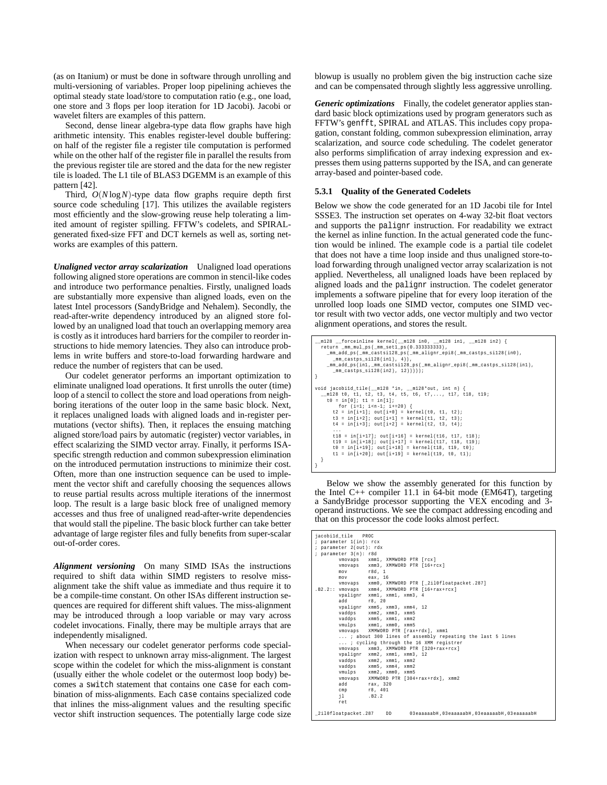(as on Itanium) or must be done in software through unrolling and multi-versioning of variables. Proper loop pipelining achieves the optimal steady state load/store to computation ratio (e.g., one load, one store and 3 flops per loop iteration for 1D Jacobi). Jacobi or wavelet filters are examples of this pattern.

Second, dense linear algebra-type data flow graphs have high arithmetic intensity. This enables register-level double buffering: on half of the register file a register tile computation is performed while on the other half of the register file in parallel the results from the previous register tile are stored and the data for the new register tile is loaded. The L1 tile of BLAS3 DGEMM is an example of this pattern [42].

Third, *O*(*N* log*N*)-type data flow graphs require depth first source code scheduling [17]. This utilizes the available registers most efficiently and the slow-growing reuse help tolerating a limited amount of register spilling. FFTW's codelets, and SPIRALgenerated fixed-size FFT and DCT kernels as well as, sorting networks are examples of this pattern.

*Unaligned vector array scalarization* Unaligned load operations following aligned store operations are common in stencil-like codes and introduce two performance penalties. Firstly, unaligned loads are substantially more expensive than aligned loads, even on the latest Intel processors (SandyBridge and Nehalem). Secondly, the read-after-write dependency introduced by an aligned store followed by an unaligned load that touch an overlapping memory area is costly as it introduces hard barriers for the compiler to reorder instructions to hide memory latencies. They also can introduce problems in write buffers and store-to-load forwarding hardware and reduce the number of registers that can be used.

Our codelet generator performs an important optimization to eliminate unaligned load operations. It first unrolls the outer (time) loop of a stencil to collect the store and load operations from neighboring iterations of the outer loop in the same basic block. Next, it replaces unaligned loads with aligned loads and in-register permutations (vector shifts). Then, it replaces the ensuing matching aligned store/load pairs by automatic (register) vector variables, in effect scalarizing the SIMD vector array. Finally, it performs ISAspecific strength reduction and common subexpression elimination on the introduced permutation instructions to minimize their cost. Often, more than one instruction sequence can be used to implement the vector shift and carefully choosing the sequences allows to reuse partial results across multiple iterations of the innermost loop. The result is a large basic block free of unaligned memory accesses and thus free of unaligned read-after-write dependencies that would stall the pipeline. The basic block further can take better advantage of large register files and fully benefits from super-scalar out-of-order cores.

*Alignment versioning* On many SIMD ISAs the instructions required to shift data within SIMD registers to resolve missalignment take the shift value as immediate and thus require it to be a compile-time constant. On other ISAs different instruction sequences are required for different shift values. The miss-alignment may be introduced through a loop variable or may vary across codelet invocations. Finally, there may be multiple arrays that are independently misaligned.

When necessary our codelet generator performs code specialization with respect to unknown array miss-alignment. The largest scope within the codelet for which the miss-alignment is constant (usually either the whole codelet or the outermost loop body) becomes a switch statement that contains one case for each combination of miss-alignments. Each case contains specialized code that inlines the miss-alignment values and the resulting specific vector shift instruction sequences. The potentially large code size blowup is usually no problem given the big instruction cache size and can be compensated through slightly less aggressive unrolling.

Generic optimizations Finally, the codelet generator applies standard basic block optimizations used by program generators such as FFTW's genfft, SPIRAL and ATLAS. This includes copy propagation, constant folding, common subexpression elimination, array scalarization, and source code scheduling. The codelet generator also performs simplification of array indexing expression and expresses them using patterns supported by the ISA, and can generate array-based and pointer-based code.

## **5.3.1 Quality of the Generated Codelets**

Below we show the code generated for an 1D Jacobi tile for Intel SSSE3. The instruction set operates on 4-way 32-bit float vectors and supports the palignr instruction. For readability we extract the kernel as inline function. In the actual generated code the function would be inlined. The example code is a partial tile codelet that does not have a time loop inside and thus unaligned store-toload forwarding through unaligned vector array scalarization is not applied. Nevertheless, all unaligned loads have been replaced by aligned loads and the palignr instruction. The codelet generator implements a software pipeline that for every loop iteration of the unrolled loop loads one SIMD vector, computes one SIMD vector result with two vector adds, one vector multiply and two vector alignment operations, and stores the result.

```
__m128 __forceinline kernel(__m128 in0, __m128 in1, __m128 in2) {<br>return _mm_mul_ps (_mm_setl_ps(0.333333333),<br>__mm_add_ps(_mm_castsi128.ps(_mm_alignr_epi8(_mm_castps_si128(in0),<br>__mm_castps_si128(in1), 4)),
          _mm_add_ps (in1 , _mm_castsi128_ps ( _mm_alignr_epi8 ( _mm_castps_si128 ( in1 ),
                 mm_castps_sil28(in2), 12)))));
}
void jacobi1d_tile (__m128 *in, __m128*out, int n) {<br>__m128 t0, t1, t2, t3, t4, t5, t6, t7,..., t17, t18, t19;<br>t0 = in[0]; t1 = in[1];
                 for (i = 1; i < n-1; i = 20) {
               t2 = in [i +1]; out [i +0] = kernel (t0 , t1 , t2 );
t3 = in [i +2]; out [i +1] = kernel (t1 , t2 , t3 );
t4 = in [i +3]; out [i +2] = kernel (t2 , t3 , t4 );
               ...<br>t18 = in[i+17]; out[i+16] = kernel(t16, t17, t18);<br>t19 = in[i+18]; out[i+17] = kernel(t17, t18, t19);<br>t1 = in[i+20]; out[i+19] = kernel(t18, t19, t0);<br>t1 = in[i+20]; out[i+19] = kernel(t19, t0, t1);
     }
}
```
Below we show the assembly generated for this function by the Intel C++ compiler 11.1 in 64-bit mode (EM64T), targeting a SandyBridge processor supporting the VEX encoding and 3 operand instructions. We see the compact addressing encoding and that on this processor the code looks almost perfect.

| jacobild tile PROC<br>; parameter 1(in): rcx |                                                          |
|----------------------------------------------|----------------------------------------------------------|
| ; parameter 2(out): rdx                      |                                                          |
| ; parameter 3(n): r8d                        |                                                          |
|                                              | vmovaps xmml, XMMWORD PTR [rcx]                          |
|                                              | vmovaps xmm3, XMMWORD PTR [16+rcx]                       |
| mov r8d. 1                                   |                                                          |
| mov eax, 16                                  |                                                          |
|                                              | vmovaps xmm0, XMMWORD PTR [ 2il0floatpacket.287]         |
|                                              | .B2.2:: vmovaps __ xmm4, XMMWORD PTR [16+rax+rcx]        |
|                                              | vpalignr xmml, xmml, xmm3, 4                             |
| add r8. 20                                   |                                                          |
|                                              | vpalignr xmm5, xmm3, xmm4, 12                            |
|                                              | vaddps xmm2, xmm3, xmm5                                  |
|                                              | vaddps xmm5. xmm1. xmm2                                  |
|                                              | vmulps xmml, xmm0, xmm5                                  |
|                                              | vmovaps XMMWORD PTR [rax+rdx], xmml                      |
|                                              | ; about 300 lines of assembly repeating the last 5 lines |
|                                              | ; cycling through the 16 XMM registrer                   |
|                                              | vmovaps xmm3. XMMWORD PTR [320+rax+rcx]                  |
|                                              | vpalignr xmm2, xmm1, xmm3, 12                            |
|                                              | vaddps xmm2, xmm1, xmm2                                  |
|                                              | vaddps xmm5. xmm4. xmm2                                  |
|                                              | vmulps xmm2, xmm0, xmm5                                  |
|                                              | vmovaps XMMWORD PTR [304+rax+rdx], xmm2                  |
|                                              | add rax, 320                                             |
| cmp r8, 401                                  |                                                          |
| 11                                           | $-B2.2$                                                  |
| ret                                          |                                                          |
|                                              |                                                          |
| 2il0floatpacket.287                          | 03eaaaaabH, 03eaaaaabH, 03eaaaaabH, 03eaaaaabH<br>DD     |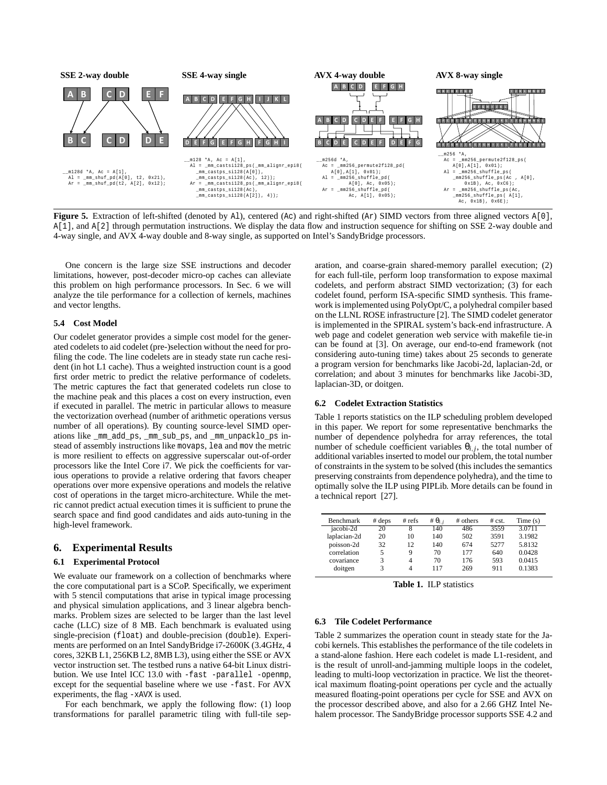

**Figure 5.** Extraction of left-shifted (denoted by A1), centered (Ac) and right-shifted (Ar) SIMD vectors from three aligned vectors A[0], A[1], and A[2] through permutation instructions. We display the data flow and instruction sequence for shifting on SSE 2-way double and 4-way single, and AVX 4-way double and 8-way single, as supported on Intel's SandyBridge processors.

One concern is the large size SSE instructions and decoder limitations, however, post-decoder micro-op caches can alleviate this problem on high performance processors. In Sec. 6 we will analyze the tile performance for a collection of kernels, machines and vector lengths.

#### **5.4 Cost Model**

Our codelet generator provides a simple cost model for the generated codelets to aid codelet (pre-)selection without the need for profiling the code. The line codelets are in steady state run cache resident (in hot L1 cache). Thus a weighted instruction count is a good first order metric to predict the relative performance of codelets. The metric captures the fact that generated codelets run close to the machine peak and this places a cost on every instruction, even if executed in parallel. The metric in particular allows to measure the vectorization overhead (number of arithmetic operations versus number of all operations). By counting source-level SIMD operations like \_mm\_add\_ps, \_mm\_sub\_ps, and \_mm\_unpacklo\_ps instead of assembly instructions like movaps, lea and mov the metric is more resilient to effects on aggressive superscalar out-of-order processors like the Intel Core i7. We pick the coefficients for various operations to provide a relative ordering that favors cheaper operations over more expensive operations and models the relative cost of operations in the target micro-architecture. While the metric cannot predict actual execution times it is sufficient to prune the search space and find good candidates and aids auto-tuning in the high-level framework.

## **6. Experimental Results**

#### **6.1 Experimental Protocol**

We evaluate our framework on a collection of benchmarks where the core computational part is a SCoP. Specifically, we experiment with 5 stencil computations that arise in typical image processing and physical simulation applications, and 3 linear algebra benchmarks. Problem sizes are selected to be larger than the last level cache (LLC) size of 8 MB. Each benchmark is evaluated using single-precision (float) and double-precision (double). Experiments are performed on an Intel SandyBridge i7-2600K (3.4GHz, 4 cores, 32KB L1, 256KB L2, 8MB L3), using either the SSE or AVX vector instruction set. The testbed runs a native 64-bit Linux distribution. We use Intel ICC 13.0 with -fast -parallel -openmp, except for the sequential baseline where we use -fast. For AVX experiments, the flag -xAVX is used.

For each benchmark, we apply the following flow: (1) loop transformations for parallel parametric tiling with full-tile sep-

aration, and coarse-grain shared-memory parallel execution; (2) for each full-tile, perform loop transformation to expose maximal codelets, and perform abstract SIMD vectorization; (3) for each codelet found, perform ISA-specific SIMD synthesis. This framework is implemented using PolyOpt/C, a polyhedral compiler based on the LLNL ROSE infrastructure [2]. The SIMD codelet generator is implemented in the SPIRAL system's back-end infrastructure. A web page and codelet generation web service with makefile tie-in can be found at [3]. On average, our end-to-end framework (not considering auto-tuning time) takes about 25 seconds to generate a program version for benchmarks like Jacobi-2d, laplacian-2d, or correlation; and about 3 minutes for benchmarks like Jacobi-3D, laplacian-3D, or doitgen.

## **6.2 Codelet Extraction Statistics**

Table 1 reports statistics on the ILP scheduling problem developed in this paper. We report for some representative benchmarks the number of dependence polyhedra for array references, the total number of schedule coefficient variables  $\theta_{i,j}$ , the total number of additional variables inserted to model our problem, the total number of constraints in the system to be solved (this includes the semantics preserving constraints from dependence polyhedra), and the time to optimally solve the ILP using PIPLib. More details can be found in a technical report [27].

| <b>Benchmark</b> | $#$ deps | $#$ refs | # $\theta_{i,i}$ | $#$ others | $# \text{cst.}$ | Time(s) |
|------------------|----------|----------|------------------|------------|-----------------|---------|
| jacobi-2d        | 20       | 8        | 140              | 486        | 3559            | 3.0711  |
| laplacian-2d     | 20       | 10       | 140              | 502        | 3591            | 3.1982  |
| poisson-2d       | 32       | 12       | 140              | 674        | 5277            | 5.8132  |
| correlation      | 5        | 9        | 70               | 177        | 640             | 0.0428  |
| covariance       | 3        | 4        | 70               | 176        | 593             | 0.0415  |
| doitgen          | 3        | 4        | 117              | 269        | 911             | 0.1383  |

**Table 1.** ILP statistics

#### **6.3 Tile Codelet Performance**

Table 2 summarizes the operation count in steady state for the Jacobi kernels. This establishes the performance of the tile codelets in a stand-alone fashion. Here each codelet is made L1-resident, and is the result of unroll-and-jamming multiple loops in the codelet, leading to multi-loop vectorization in practice. We list the theoretical maximum floating-point operations per cycle and the actually measured floating-point operations per cycle for SSE and AVX on the processor described above, and also for a 2.66 GHZ Intel Nehalem processor. The SandyBridge processor supports SSE 4.2 and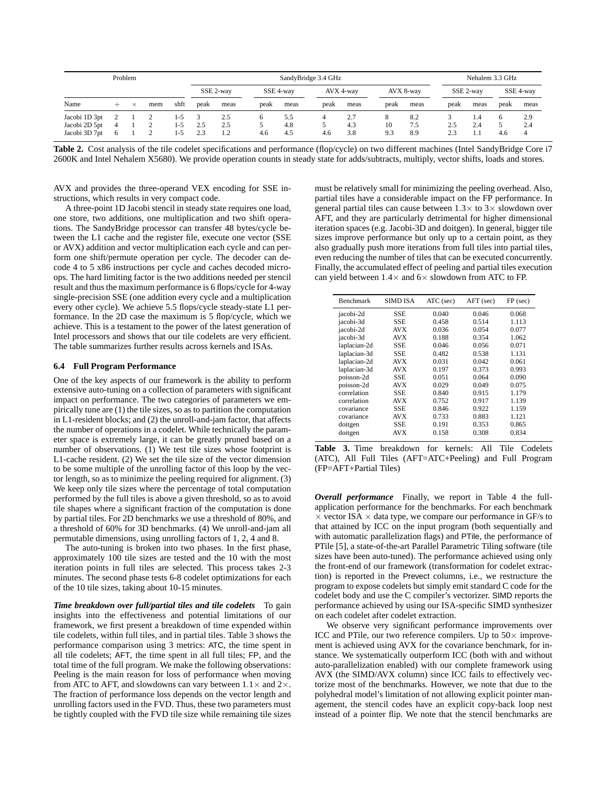|               | Problem |          |     |           |      | SandyBridge 3.4 GHz |           |      |           |      |           |      |           |      | Nehalem 3.3 GHz |      |  |  |  |  |
|---------------|---------|----------|-----|-----------|------|---------------------|-----------|------|-----------|------|-----------|------|-----------|------|-----------------|------|--|--|--|--|
|               |         |          |     | SSE 2-way |      |                     | SSE 4-way |      | AVX 4-way |      | AVX 8-way |      | SSE 2-way |      | SSE 4-way       |      |  |  |  |  |
| Name          |         | $\times$ | mem | shft      | peak | meas                | peak      | meas | peak      | meas | peak      | meas | peak      | meas | peak            | meas |  |  |  |  |
| Jacobi 1D 3pt |         |          |     | 1-5       |      | 2.5                 | 6         | 5.5  | 4         | 2.7  | 8         | 8.2  |           | 1.4  | 6               | 2.9  |  |  |  |  |
| Jacobi 2D 5pt | 4       |          |     | $1-5$     | 2.5  | 2.5                 |           | 4.8  | 5         | 4.3  | 10        | 7.5  | 2.5       | 2.4  |                 | 2.4  |  |  |  |  |
| Jacobi 3D 7pt | 6       |          |     | $1-5$     | 2.3  | 1.2                 | 4.6       | 4.5  | 4.6       | 3.8  | 9.3       | 8.9  | 2.3       | 1.1  | 4.6             | 4    |  |  |  |  |

**Table 2.** Cost analysis of the tile codelet specifications and performance (flop/cycle) on two different machines (Intel SandyBridge Core i7 2600K and Intel Nehalem X5680). We provide operation counts in steady state for adds/subtracts, multiply, vector shifts, loads and stores.

AVX and provides the three-operand VEX encoding for SSE instructions, which results in very compact code.

A three-point 1D Jacobi stencil in steady state requires one load, one store, two additions, one multiplication and two shift operations. The SandyBridge processor can transfer 48 bytes/cycle between the L1 cache and the register file, execute one vector (SSE or AVX) addition and vector multiplication each cycle and can perform one shift/permute operation per cycle. The decoder can decode 4 to 5 x86 instructions per cycle and caches decoded microops. The hard limiting factor is the two additions needed per stencil result and thus the maximum performance is 6 flops/cycle for 4-way single-precision SSE (one addition every cycle and a multiplication every other cycle). We achieve 5.5 flops/cycle steady-state L1 performance. In the 2D case the maximum is 5 flop/cycle, which we achieve. This is a testament to the power of the latest generation of Intel processors and shows that our tile codelets are very efficient. The table summarizes further results across kernels and ISAs.

#### **6.4 Full Program Performance**

One of the key aspects of our framework is the ability to perform extensive auto-tuning on a collection of parameters with significant impact on performance. The two categories of parameters we empirically tune are (1) the tile sizes, so as to partition the computation in L1-resident blocks; and (2) the unroll-and-jam factor, that affects the number of operations in a codelet. While technically the parameter space is extremely large, it can be greatly pruned based on a number of observations. (1) We test tile sizes whose footprint is L1-cache resident. (2) We set the tile size of the vector dimension to be some multiple of the unrolling factor of this loop by the vector length, so as to minimize the peeling required for alignment. (3) We keep only tile sizes where the percentage of total computation performed by the full tiles is above a given threshold, so as to avoid tile shapes where a significant fraction of the computation is done by partial tiles. For 2D benchmarks we use a threshold of 80%, and a threshold of 60% for 3D benchmarks. (4) We unroll-and-jam all permutable dimensions, using unrolling factors of 1, 2, 4 and 8.

The auto-tuning is broken into two phases. In the first phase, approximately 100 tile sizes are tested and the 10 with the most iteration points in full tiles are selected. This process takes 2-3 minutes. The second phase tests 6-8 codelet optimizations for each of the 10 tile sizes, taking about 10-15 minutes.

*Time breakdown over full/partial tiles and tile codelets* To gain insights into the effectiveness and potential limitations of our framework, we first present a breakdown of time expended within tile codelets, within full tiles, and in partial tiles. Table 3 shows the performance comparison using 3 metrics: ATC, the time spent in all tile codelets; AFT, the time spent in all full tiles; FP, and the total time of the full program. We make the following observations: Peeling is the main reason for loss of performance when moving from ATC to AFT, and slowdowns can vary between  $1.1 \times$  and  $2 \times$ . The fraction of performance loss depends on the vector length and unrolling factors used in the FVD. Thus, these two parameters must be tightly coupled with the FVD tile size while remaining tile sizes

must be relatively small for minimizing the peeling overhead. Also, partial tiles have a considerable impact on the FP performance. In general partial tiles can cause between  $1.3 \times$  to  $3 \times$  slowdown over AFT, and they are particularly detrimental for higher dimensional iteration spaces (e.g. Jacobi-3D and doitgen). In general, bigger tile sizes improve performance but only up to a certain point, as they also gradually push more iterations from full tiles into partial tiles, even reducing the number of tiles that can be executed concurrently. Finally, the accumulated effect of peeling and partial tiles execution can yield between  $1.4 \times$  and  $6 \times$  slowdown from ATC to FP.

| <b>Benchmark</b> | <b>SIMD ISA</b> | $ATC$ (sec) | $AFT$ (sec) | $FP$ (sec) |
|------------------|-----------------|-------------|-------------|------------|
| jacobi-2d        | SSE             | 0.040       | 0.046       | 0.068      |
| iacobi-3d        | SSE             | 0.458       | 0.514       | 1.113      |
| iacobi-2d        | <b>AVX</b>      | 0.036       | 0.054       | 0.077      |
| jacobi-3d        | <b>AVX</b>      | 0.188       | 0.354       | 1.062      |
| laplacian-2d     | SSE             | 0.046       | 0.056       | 0.071      |
| laplacian-3d     | SSE             | 0.482       | 0.538       | 1.131      |
| laplacian-2d     | <b>AVX</b>      | 0.031       | 0.042       | 0.061      |
| laplacian-3d     | <b>AVX</b>      | 0.197       | 0.373       | 0.993      |
| poisson-2d       | SSE             | 0.051       | 0.064       | 0.090      |
| poisson-2d       | <b>AVX</b>      | 0.029       | 0.049       | 0.075      |
| correlation      | SSE             | 0.840       | 0.915       | 1.179      |
| correlation      | <b>AVX</b>      | 0.752       | 0.917       | 1.139      |
| covariance       | SSE             | 0.846       | 0.922       | 1.159      |
| covariance       | <b>AVX</b>      | 0.733       | 0.883       | 1.121      |
| doitgen          | SSE             | 0.191       | 0.353       | 0.865      |
| doitgen          | <b>AVX</b>      | 0.158       | 0.308       | 0.834      |

|                        | <b>Table 3.</b> Time breakdown for kernels: All Tile Codelets |  |  |  |
|------------------------|---------------------------------------------------------------|--|--|--|
|                        | (ATC), All Full Tiles (AFT=ATC+Peeling) and Full Program      |  |  |  |
| (FP=AFT+Partial Tiles) |                                                               |  |  |  |

*Overall performance* Finally, we report in Table 4 the fullapplication performance for the benchmarks. For each benchmark  $\times$  vector ISA  $\times$  data type, we compare our performance in GF/s to that attained by ICC on the input program (both sequentially and with automatic parallelization flags) and PTile, the performance of PTile [5], a state-of-the-art Parallel Parametric Tiling software (tile sizes have been auto-tuned). The performance achieved using only the front-end of our framework (transformation for codelet extraction) is reported in the Prevect columns, i.e., we restructure the program to expose codelets but simply emit standard C code for the codelet body and use the C compiler's vectorizer. SIMD reports the performance achieved by using our ISA-specific SIMD synthesizer on each codelet after codelet extraction.

We observe very significant performance improvements over ICC and PTile, our two reference compilers. Up to  $50\times$  improvement is achieved using AVX for the covariance benchmark, for instance. We systematically outperform ICC (both with and without auto-parallelization enabled) with our complete framework using AVX (the SIMD/AVX column) since ICC fails to effectively vectorize most of the benchmarks. However, we note that due to the polyhedral model's limitation of not allowing explicit pointer management, the stencil codes have an explicit copy-back loop nest instead of a pointer flip. We note that the stencil benchmarks are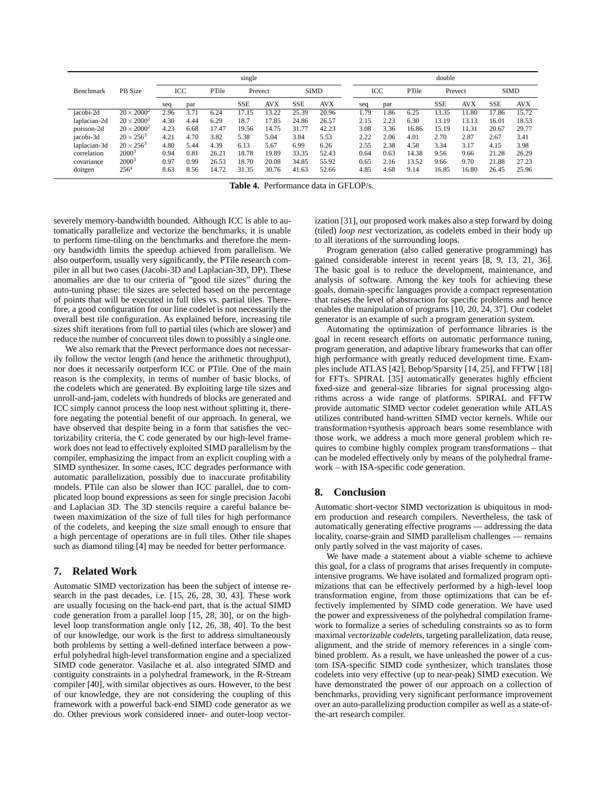|                      |                     | single |              |       |            |            |             |            | double |      |       |            |            |            |            |             |  |
|----------------------|---------------------|--------|--------------|-------|------------|------------|-------------|------------|--------|------|-------|------------|------------|------------|------------|-------------|--|
| PB Size<br>Benchmark |                     |        | ICC<br>PTile |       | Prevect    |            | <b>SIMD</b> |            |        | ICC  |       | PTile      |            | Prevect    |            | <b>SIMD</b> |  |
|                      |                     | seq    | par          |       | <b>SSE</b> | <b>AVX</b> | <b>SSE</b>  | <b>AVX</b> | seq    | par  |       | <b>SSE</b> | <b>AVX</b> | <b>SSE</b> | <b>AVX</b> |             |  |
| jacobi-2d            | $20 \times 2000^2$  | 2.96   | 3.71         | 6.24  | 7.15       | 13.22      | 25.39       | 20.96      | 1.79   | 1.86 | 6.25  | 13.35      | 11.80      | 17.86      | 15.72      |             |  |
| laplacian-2d         | $20 \times 2000^2$  | 4.30   | 4.44         | 6.29  | 18.7       | 17.85      | 24.86       | 26.57      | 2.15   | 2.23 | 6.30  | 13.19      | 13.13      | 16.01      | 18.53      |             |  |
| poisson-2d           | $20 \times 2000^2$  | 4.23   | 6.68         | 17.47 | 19.56      | 14.75      | 31.77       | 42.23      | 3.08   | 3.36 | 16.86 | 15.19      | 11.31      | 20.67      | 29.77      |             |  |
| jacobi-3d            | $20 \times 256^{3}$ | 4.21   | 4.70         | 3.82  | 5.38       | 5.04       | 3.84        | 5.53       | 2.22   | 2.06 | 4.01  | 2.70       | 2.87       | 2.67       | 3.41       |             |  |
| laplacian-3d         | $20 \times 256^{3}$ | 4.80   | 5.44         | 4.39  | 6.13       | 5.67       | 6.99        | 6.26       | 2.55   | 2.38 | 4.58  | 3.34       | 3.17       | 4.15       | 3.98       |             |  |
| correlation          | $2000^3$            | 0.94   | 0.81         | 26.21 | 18.78      | 19.89      | 33.35       | 52.43      | 0.64   | 0.63 | 14.38 | 9.56       | 9.66       | 21.28      | 26.29      |             |  |
| covariance           | $2000^3$            | 0.97   | 0.99         | 26.53 | 18.70      | 20.08      | 34.85       | 55.92      | 0.65   | 2.16 | 13.52 | 9.66       | 9.70       | 21.88      | 27.23      |             |  |
| doitgen              | 256 <sup>4</sup>    | 8.63   | 8.56         | 14.72 | 31.35      | 30.76      | 41.63       | 52.66      | 4.85   | 4.68 | 9.14  | 16.85      | 16.80      | 26.45      | 25.96      |             |  |

**Table 4.** Performance data in GFLOP/s.

severely memory-bandwidth bounded. Although ICC is able to automatically parallelize and vectorize the benchmarks, it is unable to perform time-tiling on the benchmarks and therefore the memory bandwidth limits the speedup achieved from parallelism. We also outperform, usually very significantly, the PTile research compiler in all but two cases (Jacobi-3D and Laplacian-3D, DP). These anomalies are due to our criteria of "good tile sizes" during the auto-tuning phase: tile sizes are selected based on the percentage of points that will be executed in full tiles vs. partial tiles. Therefore, a good configuration for our line codelet is not necessarily the overall best tile configuration. As explained before, increasing tile sizes shift iterations from full to partial tiles (which are slower) and reduce the number of concurrent tiles down to possibly a single one.

We also remark that the Prevect performance does not necessarily follow the vector length (and hence the arithmetic throughput), nor does it necessarily outperform ICC or PTile. One of the main reason is the complexity, in terms of number of basic blocks, of the codelets which are generated. By exploiting large tile sizes and unroll-and-jam, codelets with hundreds of blocks are generated and ICC simply cannot process the loop nest without splitting it, therefore negating the potential benefit of our approach. In general, we have observed that despite being in a form that satisfies the vectorizability criteria, the C code generated by our high-level framework does not lead to effectively exploited SIMD parallelism by the compiler, emphasizing the impact from an explicit coupling with a SIMD synthesizer. In some cases, ICC degrades performance with automatic parallelization, possibly due to inaccurate profitability models. PTile can also be slower than ICC parallel, due to complicated loop bound expressions as seen for single precision Jacobi and Laplacian 3D. The 3D stencils require a careful balance between maximization of the size of full tiles for high performance of the codelets, and keeping the size small enough to ensure that a high percentage of operations are in full tiles. Other tile shapes such as diamond tiling [4] may be needed for better performance.

# **7. Related Work**

Automatic SIMD vectorization has been the subject of intense research in the past decades, i.e. [15, 26, 28, 30, 43]. These work are usually focusing on the back-end part, that is the actual SIMD code generation from a parallel loop [15, 28, 30], or on the highlevel loop transformation angle only [12, 26, 38, 40]. To the best of our knowledge, our work is the first to address simultaneously both problems by setting a well-defined interface between a powerful polyhedral high-level transformation engine and a specialized SIMD code generator. Vasilache et al. also integrated SIMD and contiguity constraints in a polyhedral framework, in the R-Stream compiler [40], with similar objectives as ours. However, to the best of our knowledge, they are not considering the coupling of this framework with a powerful back-end SIMD code generator as we do. Other previous work considered inner- and outer-loop vectorization [31], our proposed work makes also a step forward by doing (tiled) *loop nest* vectorization, as codelets embed in their body up to all iterations of the surrounding loops.

Program generation (also called generative programming) has gained considerable interest in recent years [8, 9, 13, 21, 36]. The basic goal is to reduce the development, maintenance, and analysis of software. Among the key tools for achieving these goals, domain-specific languages provide a compact representation that raises the level of abstraction for specific problems and hence enables the manipulation of programs [10, 20, 24, 37]. Our codelet generator is an example of such a program generation system.

Automating the optimization of performance libraries is the goal in recent research efforts on automatic performance tuning, program generation, and adaptive library frameworks that can offer high performance with greatly reduced development time. Examples include ATLAS [42], Bebop/Sparsity [14, 25], and FFTW [18] for FFTs. SPIRAL [35] automatically generates highly efficient fixed-size and general-size libraries for signal processing algorithms across a wide range of platforms. SPIRAL and FFTW provide automatic SIMD vector codelet generation while ATLAS utilizes contributed hand-written SIMD vector kernels. While our transformation+synthesis approach bears some resemblance with those work, we address a much more general problem which requires to combine highly complex program transformations – that can be modeled effectively only by means of the polyhedral framework – with ISA-specific code generation.

# **8. Conclusion**

Automatic short-vector SIMD vectorization is ubiquitous in modern production and research compilers. Nevertheless, the task of automatically generating effective programs — addressing the data locality, coarse-grain and SIMD parallelism challenges — remains only partly solved in the vast majority of cases.

We have made a statement about a viable scheme to achieve this goal, for a class of programs that arises frequently in computeintensive programs. We have isolated and formalized program optimizations that can be effectively performed by a high-level loop transformation engine, from those optimizations that can be effectively implemented by SIMD code generation. We have used the power and expressiveness of the polyhedral compilation framework to formalize a series of scheduling constraints so as to form maximal *vectorizable codelets*, targeting parallelization, data reuse, alignment, and the stride of memory references in a single combined problem. As a result, we have unleashed the power of a custom ISA-specific SIMD code synthesizer, which translates those codelets into very effective (up to near-peak) SIMD execution. We have demonstrated the power of our approach on a collection of benchmarks, providing very significant performance improvement over an auto-parallelizing production compiler as well as a state-ofthe-art research compiler.